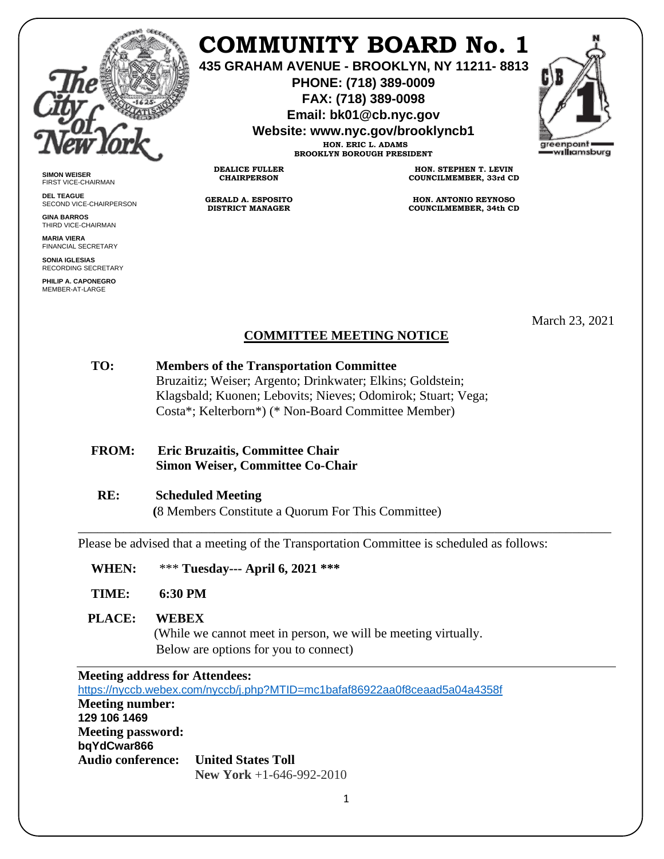

**SIMON WEISER** FIRST VICE-CHAIRMAN **DEL TEAGUE**

**GINA BARROS** THIRD VICE-CHAIRMAN **MARIA VIERA** FINANCIAL SECRETARY **SONIA IGLESIAS** RECORDING SECRETARY **PHILIP A. CAPONEGRO** MEMBER-AT-LARGE

SECOND VICE-CHAIRPERSON

# **COMMUNITY BOARD No. 1**

**435 GRAHAM AVENUE - BROOKLYN, NY 11211- 8813**

**PHONE: (718) 389-0009 FAX: (718) 389-0098**

**Email: bk01@cb.nyc.gov**

**Website: www.nyc.gov/brooklyncb1**

**HON. ERIC L. ADAMS BROOKLYN BOROUGH PRESIDENT**

**DEALICE FULLER CHAIRPERSON**

**GERALD A. ESPOSITO DISTRICT MANAGER**

**HON. STEPHEN T. LEVIN COUNCILMEMBER, 33rd CD**

**HON. ANTONIO REYNOSO COUNCILMEMBER, 34th CD**

March 23, 2021

# **COMMITTEE MEETING NOTICE**

## **TO: Members of the Transportation Committee** Bruzaitiz; Weiser; Argento; Drinkwater; Elkins; Goldstein; Klagsbald; Kuonen; Lebovits; Nieves; Odomirok; Stuart; Vega; Costa\*; Kelterborn\*) (\* Non-Board Committee Member)

### **FROM: Eric Bruzaitis, Committee Chair Simon Weiser, Committee Co-Chair**

#### **RE: Scheduled Meeting**

 **(**8 Members Constitute a Quorum For This Committee)

Please be advised that a meeting of the Transportation Committee is scheduled as follows:

\_\_\_\_\_\_\_\_\_\_\_\_\_\_\_\_\_\_\_\_\_\_\_\_\_\_\_\_\_\_\_\_\_\_\_\_\_\_\_\_\_\_\_\_\_\_\_\_\_\_\_\_\_\_\_\_\_\_\_\_\_\_\_\_\_\_\_\_\_\_\_\_\_\_\_\_\_\_\_\_\_\_

- **WHEN:** \*\*\* **Tuesday--- April 6, 2021 \*\*\***
- **TIME: 6:30 PM**

#### **PLACE: WEBEX**

(While we cannot meet in person, we will be meeting virtually. Below are options for you to connect)

| <b>Meeting address for Attendees:</b>   |                                                                            |
|-----------------------------------------|----------------------------------------------------------------------------|
|                                         | https://nyccb.webex.com/nyccb/j.php?MTID=mc1bafaf86922aa0f8ceaad5a04a4358f |
| <b>Meeting number:</b>                  |                                                                            |
| 129 106 1469                            |                                                                            |
| <b>Meeting password:</b><br>bqYdCwar866 |                                                                            |
| <b>Audio conference:</b>                | <b>United States Toll</b>                                                  |
|                                         | New York $+1-646-992-2010$                                                 |